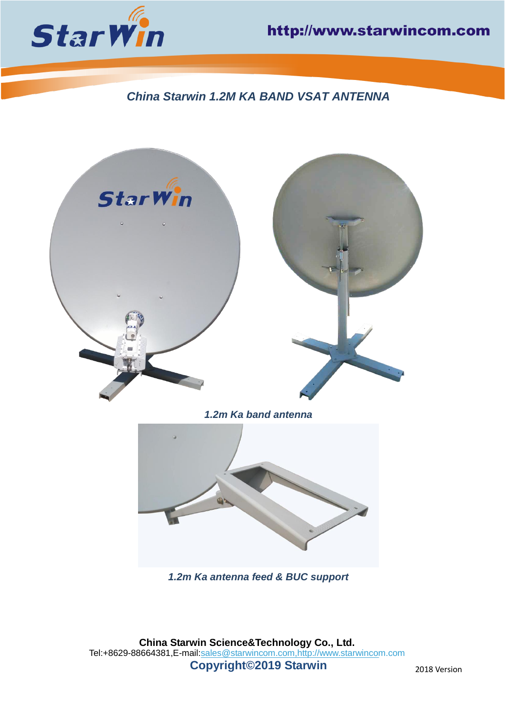

# *China Starwin 1.2M KA BAND VSAT ANTENNA*



*1.2m Ka band antenna*



*1.2m Ka antenna feed & BUC support*

**China Starwin Science&Technology Co., Ltd.** Tel:+8629-88664381,E-mail[:sales@starwincom.com,](mailto:sales@starwincom.com)[http://www.starwincom.com](http://www.starwincom.com/) **Copyright©2019 Starwin** 2018 Version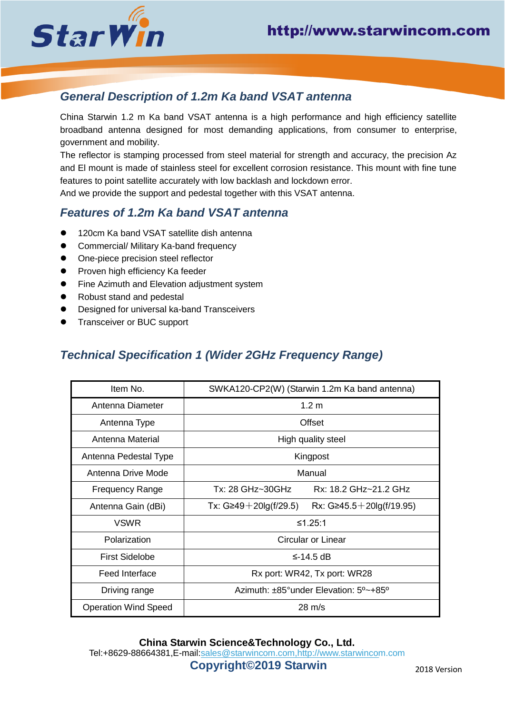

## *General Description of 1.2m Ka band VSAT antenna*

China Starwin 1.2 m Ka band VSAT antenna is a high performance and high efficiency satellite broadband antenna designed for most demanding applications, from consumer to enterprise, government and mobility.

The reflector is stamping processed from steel material for strength and accuracy, the precision Az and El mount is made of stainless steel for excellent corrosion resistance. This mount with fine tune features to point satellite accurately with low backlash and lockdown error.

And we provide the support and pedestal together with this VSAT antenna.

#### *Features of 1.2m Ka band VSAT antenna*

- 120cm Ka band VSAT satellite dish antenna
- Commercial/ Military Ka-band frequency
- One-piece precision steel reflector
- Proven high efficiency Ka feeder
- Fine Azimuth and Elevation adjustment system
- Robust stand and pedestal
- Designed for universal ka-band Transceivers
- ⚫ Transceiver or BUC support

### *Technical Specification 1 (Wider 2GHz Frequency Range)*

| Item No.                    | SWKA120-CP2(W) (Starwin 1.2m Ka band antenna)                         |
|-----------------------------|-----------------------------------------------------------------------|
| Antenna Diameter            | 1.2 <sub>m</sub>                                                      |
| Antenna Type                | Offset                                                                |
| Antenna Material            | High quality steel                                                    |
| Antenna Pedestal Type       | Kingpost                                                              |
| Antenna Drive Mode          | Manual                                                                |
| <b>Frequency Range</b>      | Tx: 28 GHz~30GHz<br>Rx: 18.2 GHz~21.2 GHz                             |
| Antenna Gain (dBi)          | Tx: $G \ge 49 + 20 \lg(f/29.5)$<br>Rx: $G \ge 45.5 + 20 \lg(f/19.95)$ |
| <b>VSWR</b>                 | ≤1.25:1                                                               |
| Polarization                | Circular or Linear                                                    |
| <b>First Sidelobe</b>       | $\leq$ -14.5 dB                                                       |
| Feed Interface              | Rx port: WR42, Tx port: WR28                                          |
| Driving range               | Azimuth: ±85°under Elevation: 5°~+85°                                 |
| <b>Operation Wind Speed</b> | $28 \text{ m/s}$                                                      |

**China Starwin Science&Technology Co., Ltd.** Tel:+8629-88664381,E-mail[:sales@starwincom.com,](mailto:sales@starwincom.com)[http://www.starwincom.com](http://www.starwincom.com/) **Copyright©2019 Starwin** 2018 Version